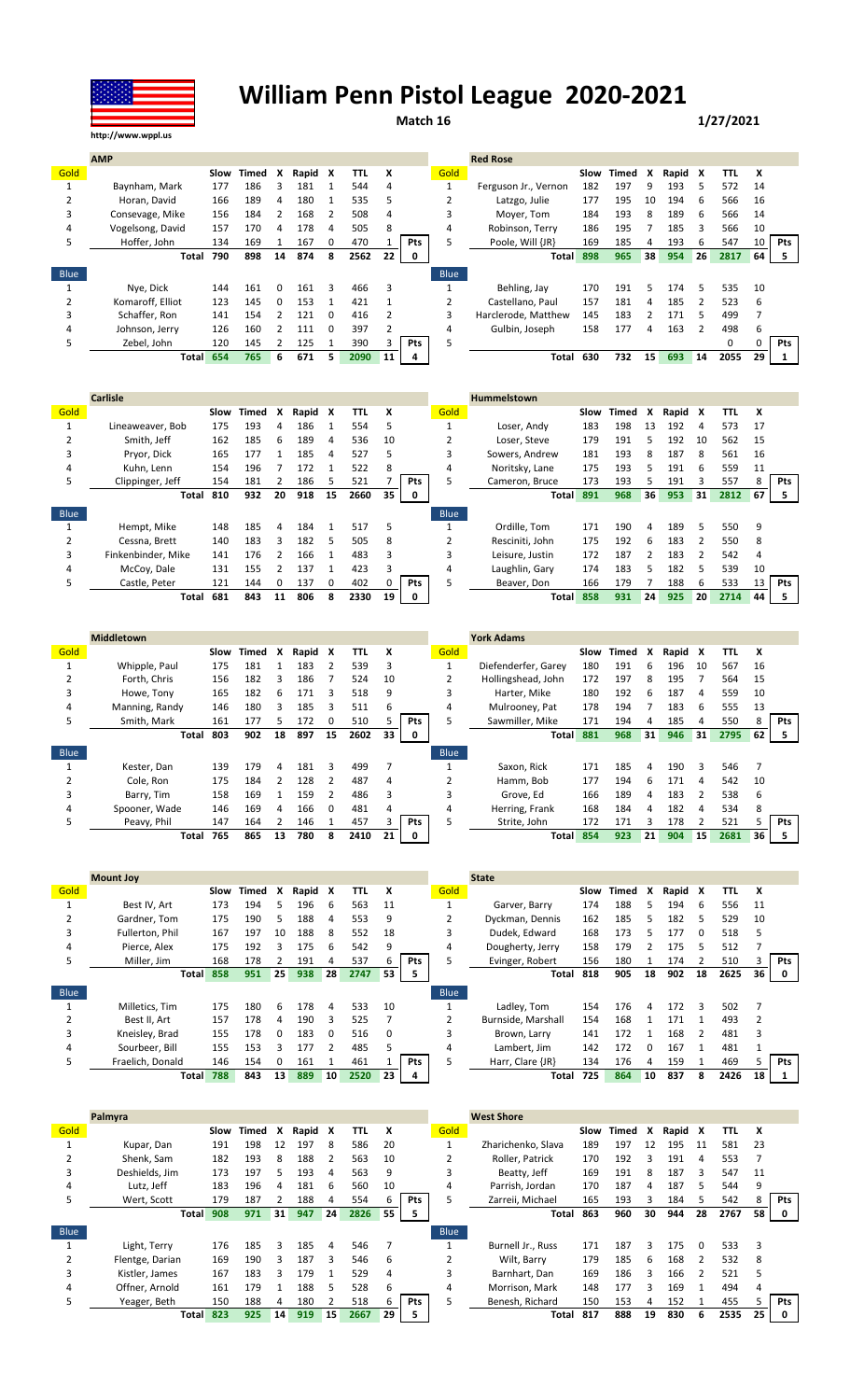

## **William Penn Pistol League 2020-2021**

**Match 16 1/27/2021**

|             | <b>AMP</b>       |      |       |              |       |          |      |                 |            |             | <b>Red Rose</b>      |      |         |                 |         |    |          |    |            |
|-------------|------------------|------|-------|--------------|-------|----------|------|-----------------|------------|-------------|----------------------|------|---------|-----------------|---------|----|----------|----|------------|
| Gold        |                  | Slow | Timed | x            | Rapid | X        | TTL  | x               |            | Gold        |                      | Slow | Timed X |                 | Rapid X |    | TΤL      | X  |            |
|             | Baynham, Mark    | 177  | 186   | 3            | 181   |          | 544  | 4               |            |             | Ferguson Jr., Vernon | 182  | 197     | 9               | 193     | 5  | 572      | 14 |            |
|             | Horan, David     | 166  | 189   | 4            | 180   |          | 535  | 5               |            |             | Latzgo, Julie        | 177  | 195     | 10              | 194     | 6  | 566      | 16 |            |
|             | Consevage, Mike  | 156  | 184   |              | 168   |          | 508  | 4               |            |             | Moyer, Tom           | 184  | 193     | 8               | 189     | 6  | 566      | 14 |            |
| 4           | Vogelsong, David | 157  | 170   | 4            | 178   | 4        | 505  | 8               |            | 4           | Robinson, Terry      | 186  | 195     |                 | 185     | 3  | 566      | 10 |            |
| 5           | Hoffer. John     | 134  | 169   |              | 167   |          | 470  |                 | Pts        |             | Poole, Will {JR}     | 169  | 185     |                 | 193     | h  | 547      | 10 | <b>Pts</b> |
|             | Total            | 790  | 898   | 14           | 874   | 8        | 2562 | 22 <sub>1</sub> | 0          |             | <b>Total</b>         | 898  | 965     | 38              | 954     | 26 | 2817     | 64 | 5.         |
| <b>Blue</b> |                  |      |       |              |       |          |      |                 |            | <b>Blue</b> |                      |      |         |                 |         |    |          |    |            |
|             | Nye, Dick        | 144  | 161   | <sup>0</sup> | 161   | 3        | 466  | 3               |            |             | Behling, Jay         | 170  | 191     |                 | 174     | 5  | 535      | 10 |            |
|             | Komaroff, Elliot | 123  | 145   | $\Omega$     | 153   |          | 421  |                 |            |             | Castellano, Paul     | 157  | 181     | 4               | 185     |    | 523      | 6  |            |
| 3           | Schaffer, Ron    | 141  | 154   |              | 121   | $\Omega$ | 416  |                 |            | 3           | Harclerode, Matthew  | 145  | 183     |                 | 171     |    | 499      |    |            |
| 4           | Johnson, Jerry   | 126  | 160   |              | 111   | 0        | 397  |                 |            | 4           | Gulbin, Joseph       | 158  | 177     | 4               | 163     |    | 498      | 6  |            |
|             | Zebel, John      | 120  | 145   |              | 125   |          | 390  |                 | <b>Pts</b> | 5           |                      |      |         |                 |         |    | $\Omega$ | 0  | Pts        |
|             | <b>Total</b>     | 654  | 765   | 6            | 671   | 5.       | 2090 | 11              | 4          |             | Total                | 630  | 732     | 15 <sup>1</sup> | 693     | 14 | 2055     | 29 |            |

|             | <b>Carlisle</b>    |      |       |              |       |    |      |    |            |             | <b>Hummelstown</b> |      |       |    |         |    |      |    |            |
|-------------|--------------------|------|-------|--------------|-------|----|------|----|------------|-------------|--------------------|------|-------|----|---------|----|------|----|------------|
| Gold        |                    | Slow | Timed | x            | Rapid | x  | TTL  | x  |            | Gold        |                    | Slow | Timed | x  | Rapid X |    | TTL  | X  |            |
|             | Lineaweaver, Bob   | 175  | 193   | 4            | 186   |    | 554  | 5  |            |             | Loser, Andy        | 183  | 198   | 13 | 192     | 4  | 573  | 17 |            |
|             | Smith. Jeff        | 162  | 185   | 6            | 189   | 4  | 536  | 10 |            |             | Loser. Steve       | 179  | 191   | 5  | 192     | 10 | 562  | 15 |            |
| 3           | Pryor, Dick        | 165  | 177   |              | 185   | 4  | 527  | 5  |            |             | Sowers, Andrew     | 181  | 193   | 8  | 187     | 8  | 561  | 16 |            |
| 4           | Kuhn. Lenn         | 154  | 196   |              | 172   |    | 522  | 8  |            | 4           | Noritsky, Lane     | 175  | 193   | 5. | 191     | 6  | 559  | 11 |            |
| 5           | Clippinger, Jeff   | 154  | 181   |              | 186   |    | 521  |    | Pts        | 5           | Cameron, Bruce     | 173  | 193   |    | 191     |    | 557  |    | <b>Pts</b> |
|             | Total              | 810  | 932   | 20           | 918   | 15 | 2660 | 35 | 0          |             | <b>Total</b>       | 891  | 968   | 36 | 953     | 31 | 2812 | 67 | 5.         |
| <b>Blue</b> |                    |      |       |              |       |    |      |    |            | <b>Blue</b> |                    |      |       |    |         |    |      |    |            |
|             | Hempt, Mike        | 148  | 185   | 4            | 184   |    | 517  | 5  |            |             | Ordille. Tom       | 171  | 190   | 4  | 189     | 5  | 550  | q  |            |
|             | Cessna, Brett      | 140  | 183   | 3            | 182   | 5  | 505  | 8  |            |             | Resciniti, John    | 175  | 192   | 6  | 183     |    | 550  | 8  |            |
| 3           | Finkenbinder, Mike | 141  | 176   |              | 166   |    | 483  | 3  |            | 3           | Leisure, Justin    | 172  | 187   |    | 183     |    | 542  | 4  |            |
| 4           | McCoy, Dale        | 131  | 155   |              | 137   |    | 423  | 3  |            | 4           | Laughlin, Gary     | 174  | 183   | 5  | 182     | 5  | 539  | 10 |            |
|             | Castle, Peter      | 121  | 144   | <sup>0</sup> | 137   | 0  | 402  |    | <b>Pts</b> | 5           | Beaver, Don        | 166  | 179   |    | 188     | 6  | 533  | 13 | Pts        |
|             | Total              | 681  | 843   | 11           | 806   | 8  | 2330 | 19 | 0          |             | <b>Total</b>       | 858  | 931   | 24 | 925     | 20 | 2714 | 44 |            |

|             | <b>Middletown</b> |      |       |    |       |               |      |    |            |             | <b>York Adams</b>   |      |       |    |         |    |      |    |            |
|-------------|-------------------|------|-------|----|-------|---------------|------|----|------------|-------------|---------------------|------|-------|----|---------|----|------|----|------------|
| Gold        |                   | Slow | Timed | x  | Rapid | x             | TTL  | X  |            | Gold        |                     | Slow | Timed | x  | Rapid X |    | TTL  | x  |            |
|             | Whipple, Paul     | 175  | 181   |    | 183   | $\mathcal{P}$ | 539  |    |            |             | Diefenderfer, Garey | 180  | 191   | 6  | 196     | 10 | 567  | 16 |            |
|             | Forth, Chris      | 156  | 182   | 3  | 186   |               | 524  | 10 |            |             | Hollingshead, John  | 172  | 197   | 8  | 195     |    | 564  | 15 |            |
| 3           | Howe, Tony        | 165  | 182   | 6  | 171   | 3             | 518  | 9  |            |             | Harter, Mike        | 180  | 192   | 6  | 187     | 4  | 559  | 10 |            |
| 4           | Manning, Randy    | 146  | 180   | 3  | 185   | 3             | 511  | 6  |            | 4           | Mulrooney, Pat      | 178  | 194   |    | 183     | 6  | 555  | 13 |            |
| 5           | Smith, Mark       | 161  | 177   | 5. | 172   | 0             | 510  |    | <b>Pts</b> |             | Sawmiller, Mike     | 171  | 194   | 4  | 185     | 4  | 550  | 8  | <b>Pts</b> |
|             | Total             | 803  | 902   | 18 | 897   | 15            | 2602 | 33 | 0          |             | <b>Total</b>        | 881  | 968   | 31 | 946     | 31 | 2795 | 62 |            |
|             |                   |      |       |    |       |               |      |    |            |             |                     |      |       |    |         |    |      |    |            |
| <b>Blue</b> |                   |      |       |    |       |               |      |    |            | <b>Blue</b> |                     |      |       |    |         |    |      |    |            |
|             | Kester. Dan       | 139  | 179   | 4  | 181   | 3             | 499  |    |            |             | Saxon, Rick         | 171  | 185   | Δ  | 190     | 3  | 546  |    |            |
|             | Cole, Ron         | 175  | 184   |    | 128   |               | 487  | 4  |            |             | Hamm, Bob           | 177  | 194   | 6  | 171     | 4  | 542  | 10 |            |
| 3           | Barry, Tim        | 158  | 169   |    | 159   |               | 486  | 3  |            | 3           | Grove. Ed           | 166  | 189   | 4  | 183     |    | 538  | 6  |            |
| 4           | Spooner, Wade     | 146  | 169   | 4  | 166   | 0             | 481  | 4  |            | 4           | Herring, Frank      | 168  | 184   | 4  | 182     | 4  | 534  | 8  |            |
| 5           | Peavy, Phil       | 147  | 164   |    | 146   |               | 457  |    | <b>Pts</b> |             | Strite, John        | 172  | 171   |    | 178     |    | 521  |    | Pts        |

|             | <b>Mount Joy</b> |      |       |    |       |          |      |    |            |      | <b>State</b>         |     |            |    |       |    |      |    |            |
|-------------|------------------|------|-------|----|-------|----------|------|----|------------|------|----------------------|-----|------------|----|-------|----|------|----|------------|
| Gold        |                  | Slow | Timed | X  | Rapid | x        | TTL  | X  |            | Gold |                      |     | Slow Timed | x  | Rapid | X  | TTL  | x  |            |
|             | Best IV, Art     | 173  | 194   | 5  | 196   | 6        | 563  | 11 |            |      | Garver, Barry        | 174 | 188        | 5. | 194   | -6 | 556  | 11 |            |
|             | Gardner. Tom     | 175  | 190   | 5  | 188   | 4        | 553  | 9  |            |      | Dyckman, Dennis      | 162 | 185        | 5. | 182   | 5  | 529  | 10 |            |
| 3           | Fullerton, Phil  | 167  | 197   | 10 | 188   | 8        | 552  | 18 |            |      | Dudek, Edward        | 168 | 173        |    | 177   | 0  | 518  |    |            |
| 4           | Pierce, Alex     | 175  | 192   |    | 175   | 6        | 542  | 9  |            | 4    | Dougherty, Jerry     | 158 | 179        |    | 175   | 5  | 512  |    |            |
| כ           | Miller, Jim      | 168  | 178   |    | 191   |          | 537  | 6  | <b>Pts</b> |      | Evinger, Robert      | 156 | 180        |    | 174   |    | 510  |    | <b>Pts</b> |
|             | <b>Total</b>     | 858  | 951   | 25 | 938   | 28       | 2747 | 53 | 5          |      | Total                | 818 | 905        | 18 | 902   | 18 | 2625 | 36 |            |
|             |                  |      |       |    |       |          |      |    |            |      |                      |     |            |    |       |    |      |    |            |
| <b>Blue</b> |                  |      |       |    |       |          |      |    |            | Blue |                      |     |            |    |       |    |      |    |            |
|             | Milletics. Tim   | 175  | 180   | 6  | 178   | 4        | 533  | 10 |            |      | Ladlev. Tom          | 154 | 176        | 4  | 172   | 3  | 502  |    |            |
|             | Best II. Art     | 157  | 178   | 4  | 190   | 3        | 525  |    |            |      | Burnside, Marshall   | 154 | 168        |    | 171   |    | 493  |    |            |
| 3           | Kneisley, Brad   | 155  | 178   | 0  | 183   | $\Omega$ | 516  | 0  |            | ς    | Brown, Larry         | 141 | 172        |    | 168   |    | 481  | 3  |            |
| 4           | Sourbeer, Bill   | 155  | 153   |    | 177   |          | 485  |    |            | 4    | Lambert. Jim         | 142 | 172        | n  | 167   |    | 481  |    |            |
| 5           | Fraelich, Donald | 146  | 154   | 0  | 161   |          | 461  |    | Pts        | 5    | Harr, Clare $\{JR\}$ | 134 | 176        | 4  | 159   |    | 469  |    | Pts        |

|             | Palmyra         |      |       |    |         |    |      |      |            |             | <b>West Shore</b>  |      |       |    |         |          |      |    |            |
|-------------|-----------------|------|-------|----|---------|----|------|------|------------|-------------|--------------------|------|-------|----|---------|----------|------|----|------------|
| Gold        |                 | Slow | Timed | x  | Rapid X |    | TTL  | X    |            | <b>Gold</b> |                    | Slow | Timed | x  | Rapid X |          | TTL  | X  |            |
|             | Kupar, Dan      | 191  | 198   | 12 | 197     | 8  | 586  | 20   |            |             | Zharichenko, Slava | 189  | 197   | 12 | 195     | 11       | 581  | 23 |            |
|             | Shenk. Sam      | 182  | 193   | 8  | 188     |    | 563  | 10   |            |             | Roller, Patrick    | 170  | 192   | ς  | 191     | 4        | 553  |    |            |
|             | Deshields. Jim  | 173  | 197   |    | 193     | 4  | 563  | 9    |            | 3           | Beatty, Jeff       | 169  | 191   | 8  | 187     | 3        | 547  | 11 |            |
| 4           | Lutz. Jeff      | 183  | 196   | 4  | 181     | 6  | 560  | 10   |            | 4           | Parrish, Jordan    | 170  | 187   | 4  | 187     |          | 544  | 9  |            |
| 5.          | Wert, Scott     | 179  | 187   |    | 188     | 4  | 554  | ь    | <b>Pts</b> | 5           | Zarreii. Michael   | 165  | 193   |    | 184     |          | 542  | 8  | <b>Pts</b> |
|             | <b>Total</b>    | 908  | 971   | 31 | 947     | 24 | 2826 | 55 I | 5.         |             | Total              | 863  | 960   | 30 | 944     | 28       | 2767 | 58 |            |
| <b>Blue</b> |                 |      |       |    |         |    |      |      |            | <b>Blue</b> |                    |      |       |    |         |          |      |    |            |
|             | Light, Terry    | 176  | 185   | 3  | 185     | 4  | 546  |      |            |             | Burnell Jr., Russ  | 171  | 187   | 3  | 175     | $\Omega$ | 533  | 3  |            |
|             | Flentge, Darian | 169  | 190   |    | 187     |    | 546  | 6    |            |             | Wilt. Barry        | 179  | 185   | 6  | 168     |          | 532  | 8  |            |
| 3           | Kistler, James  | 167  | 183   | ₹  | 179     |    | 529  | 4    |            | 3           | Barnhart, Dan      | 169  | 186   | 3  | 166     |          | 521  | 5  |            |
| 4           | Offner, Arnold  | 161  | 179   |    | 188     |    | 528  | 6    |            | 4           | Morrison, Mark     | 148  | 177   |    | 169     |          | 494  | 4  |            |
|             | Yeager, Beth    | 150  | 188   | 4  | 180     |    | 518  | 6    | Pts        | 5           | Benesh, Richard    | 150  | 153   | 4  | 152     |          | 455  |    | <b>Pts</b> |
|             | <b>Total</b>    | 823  | 925   | 14 | 919     | 15 | 2667 | 29   | 5          |             | Total              | 817  | 888   | 19 | 830     |          | 2535 | 25 |            |